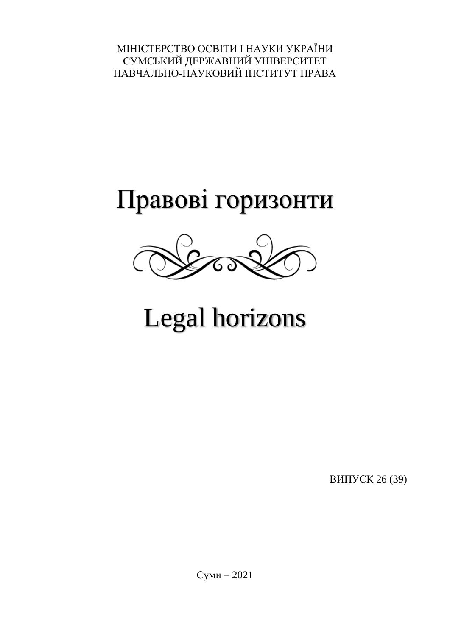МІНІСТЕРСТВО ОСВІТИ І НАУКИ УКРАЇНИ СУМСЬКИЙ ДЕРЖАВНИЙ УНІВЕРСИТЕТ НАВЧАЛЬНО-НАУКОВИЙ ІНСТИТУТ ПРАВА

## Правові горизонти



# Legal horizons

ВИПУСК 26 (39)

Суми – 2021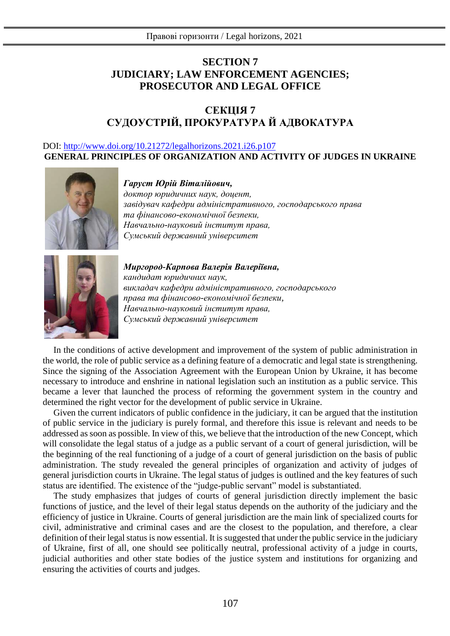## **SECTION 7 JUDICIARY; LAW ENFORCEMENT AGENCIES; PROSECUTOR AND LEGAL OFFICE**

## **СЕКЦІЯ 7 СУДОУСТРІЙ, ПРОКУРАТУРА Й АДВОКАТУРА**

### DOI: [http://www.doi.org/10.21272/legalhorizons.2021.i26.p1](http://www.doi.org/10.21272/legalhorizons.2021.i26.p)07 **GENERAL PRINCIPLES OF ORGANIZATION AND ACTIVITY OF JUDGES IN UKRAINE**



#### *Гаруст Юрій Віталійович,*

*доктор юридичних наук, доцент, завідувач кафедри адміністративного, господарського права та фінансово-економічної безпеки, Навчально-науковий інститут права, Сумський державний університет*



*Миргород-Карпова Валерія Валеріївна, кандидат юридичних наук, викладач кафедри адміністративного, господарського права та фінансово-економічної безпеки, Навчально-науковий інститут права, Сумський державний університет*

In the conditions of active development and improvement of the system of public administration in the world, the role of public service as a defining feature of a democratic and legal state is strengthening. Since the signing of the Association Agreement with the European Union by Ukraine, it has become necessary to introduce and enshrine in national legislation such an institution as a public service. This became a lever that launched the process of reforming the government system in the country and determined the right vector for the development of public service in Ukraine.

Given the current indicators of public confidence in the judiciary, it can be argued that the institution of public service in the judiciary is purely formal, and therefore this issue is relevant and needs to be addressed as soon as possible. In view of this, we believe that the introduction of the new Concept, which will consolidate the legal status of a judge as a public servant of a court of general jurisdiction, will be the beginning of the real functioning of a judge of a court of general jurisdiction on the basis of public administration. The study revealed the general principles of organization and activity of judges of general jurisdiction courts in Ukraine. The legal status of judges is outlined and the key features of such status are identified. The existence of the "judge-public servant" model is substantiated.

The study emphasizes that judges of courts of general jurisdiction directly implement the basic functions of justice, and the level of their legal status depends on the authority of the judiciary and the efficiency of justice in Ukraine. Courts of general jurisdiction are the main link of specialized courts for civil, administrative and criminal cases and are the closest to the population, and therefore, a clear definition of their legal status is now essential. It is suggested that under the public service in the judiciary of Ukraine, first of all, one should see politically neutral, professional activity of a judge in courts, judicial authorities and other state bodies of the justice system and institutions for organizing and ensuring the activities of courts and judges.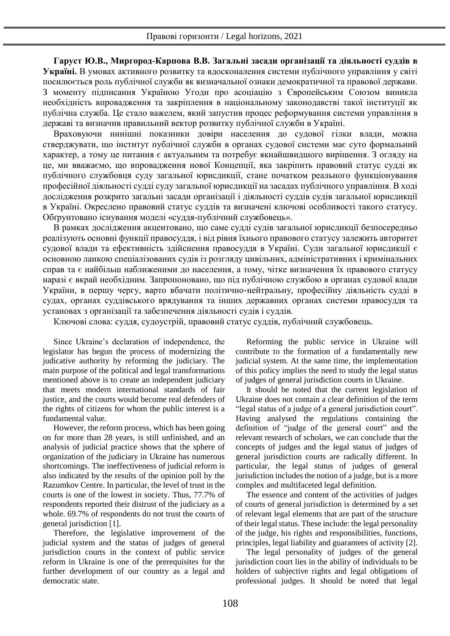**Гаруст Ю.В., Миргород-Карпова В.В. Загальні засади організації та діяльності суддів в Україні.** В умовах активного розвитку та вдосконалення системи публічного управління у світі посилюється роль публічної служби як визначальної ознаки демократичної та правової держави. З моменту підписання Україною Угоди про асоціацію з Європейським Союзом виникла необхідність впровадження та закріплення в національному законодавстві такої інституції як публічна служба. Це стало важелем, який запустив процес реформування системи управління в державі та визначив правильний вектор розвитку публічної служби в Україні.

Враховуючи нинішні показники довіри населення до судової гілки влади, можна стверджувати, що інститут публічної служби в органах судової системи має суто формальний характер, а тому це питання є актуальним та потребує якнайшвидшого вирішення. З огляду на це, ми вважаємо, що впровадження нової Концепції, яка закріпить правовий статус судді як публічного службовця суду загальної юрисдикції, стане початком реального функціонування професійної діяльності судді суду загальної юрисдикції на засадах публічного управління. В ході дослідження розкрито загальні засади організації і діяльності суддів судів загальної юрисдикції в Україні. Окреслено правовий статус суддів та визначені ключові особливості такого статусу. Обґрунтовано існування моделі «суддя-публічний службовець».

В рамках дослідження акцентовано, що саме судді судів загальної юрисдикції безпосередньо реалізують основні функції правосуддя, і від рівня їхнього правового статусу залежить авторитет судової влади та ефективність здійснення правосуддя в Україні. Суди загальної юрисдикції є основною ланкою спеціалізованих судів із розгляду цивільних, адміністративних і кримінальних справ та є найбільш наближеними до населення, а тому, чітке визначення їх правового статусу наразі є вкрай необхідним. Запропоновано, що під публічною службою в органах судової влади України, в першу чергу, варто вбачати політично-нейтральну, професійну діяльність судді в судах, органах суддівського врядування та інших державних органах системи правосуддя та установах з організації та забезпечення діяльності судів і суддів.

Ключові слова: суддя, судоустрій, правовий статус суддів, публічний службовець.

Since Ukraine's declaration of independence, the legislator has begun the process of modernizing the judicative authority by reforming the judiciary. The main purpose of the political and legal transformations mentioned above is to create an independent judiciary that meets modern international standards of fair justice, and the courts would become real defenders of the rights of citizens for whom the public interest is a fundamental value.

However, the reform process, which has been going on for more than 28 years, is still unfinished, and an analysis of judicial practice shows that the sphere of organization of the judiciary in Ukraine has numerous shortcomings. The ineffectiveness of judicial reform is also indicated by the results of the opinion poll by the Razumkov Centre. In particular, the level of trust in the courts is one of the lowest in society. Thus, 77.7% of respondents reported their distrust of the judiciary as a whole. 69.7% of respondents do not trust the courts of general jurisdiction [1].

Therefore, the legislative improvement of the judicial system and the status of judges of general jurisdiction courts in the context of public service reform in Ukraine is one of the prerequisites for the further development of our country as a legal and democratic state.

Reforming the public service in Ukraine will contribute to the formation of a fundamentally new judicial system. At the same time, the implementation of this policy implies the need to study the legal status of judges of general jurisdiction courts in Ukraine.

It should be noted that the current legislation of Ukraine does not contain a clear definition of the term "legal status of a judge of a general jurisdiction court". Having analysed the regulations containing the definition of "judge of the general court" and the relevant research of scholars, we can conclude that the concepts of judges and the legal status of judges of general jurisdiction courts are radically different. In particular, the legal status of judges of general jurisdiction includes the notion of a judge, but is a more complex and multifaceted legal definition.

The essence and content of the activities of judges of courts of general jurisdiction is determined by a set of relevant legal elements that are part of the structure of their legal status. These include: the legal personality of the judge, his rights and responsibilities, functions, principles, legal liability and guarantees of activity [2].

The legal personality of judges of the general jurisdiction court lies in the ability of individuals to be holders of subjective rights and legal obligations of professional judges. It should be noted that legal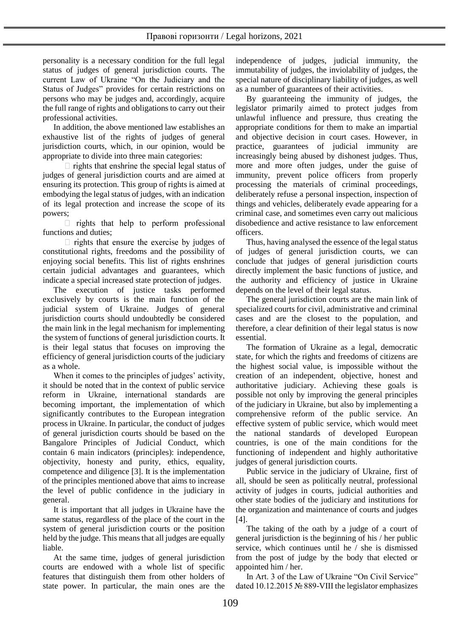personality is a necessary condition for the full legal status of judges of general jurisdiction courts. The current Law of Ukraine "On the Judiciary and the Status of Judges" provides for certain restrictions on persons who may be judges and, accordingly, acquire the full range of rights and obligations to carry out their professional activities.

In addition, the above mentioned law establishes an exhaustive list of the rights of judges of general jurisdiction courts, which, in our opinion, would be appropriate to divide into three main categories:

 $\Box$  rights that enshrine the special legal status of judges of general jurisdiction courts and are aimed at ensuring its protection. This group of rights is aimed at embodying the legal status of judges, with an indication of its legal protection and increase the scope of its powers;

 $\Box$  rights that help to perform professional functions and duties;

 $\Box$  rights that ensure the exercise by judges of constitutional rights, freedoms and the possibility of enjoying social benefits. This list of rights enshrines certain judicial advantages and guarantees, which indicate a special increased state protection of judges.

The execution of justice tasks performed exclusively by courts is the main function of the judicial system of Ukraine. Judges of general jurisdiction courts should undoubtedly be considered the main link in the legal mechanism for implementing the system of functions of general jurisdiction courts. It is their legal status that focuses on improving the efficiency of general jurisdiction courts of the judiciary as a whole.

When it comes to the principles of judges' activity, it should be noted that in the context of public service reform in Ukraine, international standards are becoming important, the implementation of which significantly contributes to the European integration process in Ukraine. In particular, the conduct of judges of general jurisdiction courts should be based on the Bangalore Principles of Judicial Conduct, which contain 6 main indicators (principles): independence, objectivity, honesty and purity, ethics, equality, competence and diligence [3]. It is the implementation of the principles mentioned above that aims to increase the level of public confidence in the judiciary in general.

It is important that all judges in Ukraine have the same status, regardless of the place of the court in the system of general jurisdiction courts or the position held by the judge. This means that all judges are equally liable.

At the same time, judges of general jurisdiction courts are endowed with a whole list of specific features that distinguish them from other holders of state power. In particular, the main ones are the independence of judges, judicial immunity, the immutability of judges, the inviolability of judges, the special nature of disciplinary liability of judges, as well as a number of guarantees of their activities.

By guaranteeing the immunity of judges, the legislator primarily aimed to protect judges from unlawful influence and pressure, thus creating the appropriate conditions for them to make an impartial and objective decision in court cases. However, in practice, guarantees of judicial immunity are increasingly being abused by dishonest judges. Thus, more and more often judges, under the guise of immunity, prevent police officers from properly processing the materials of criminal proceedings, deliberately refuse a personal inspection, inspection of things and vehicles, deliberately evade appearing for a criminal case, and sometimes even carry out malicious disobedience and active resistance to law enforcement officers.

Thus, having analysed the essence of the legal status of judges of general jurisdiction courts, we can conclude that judges of general jurisdiction courts directly implement the basic functions of justice, and the authority and efficiency of justice in Ukraine depends on the level of their legal status.

The general jurisdiction courts are the main link of specialized courts for civil, administrative and criminal cases and are the closest to the population, and therefore, a clear definition of their legal status is now essential.

The formation of Ukraine as a legal, democratic state, for which the rights and freedoms of citizens are the highest social value, is impossible without the creation of an independent, objective, honest and authoritative judiciary. Achieving these goals is possible not only by improving the general principles of the judiciary in Ukraine, but also by implementing a comprehensive reform of the public service. An effective system of public service, which would meet the national standards of developed European countries, is one of the main conditions for the functioning of independent and highly authoritative judges of general jurisdiction courts.

Public service in the judiciary of Ukraine, first of all, should be seen as politically neutral, professional activity of judges in courts, judicial authorities and other state bodies of the judiciary and institutions for the organization and maintenance of courts and judges [4].

The taking of the oath by a judge of a court of general jurisdiction is the beginning of his / her public service, which continues until he / she is dismissed from the post of judge by the body that elected or appointed him / her.

In Art. 3 of the Law of Ukraine "On Civil Service" dated 10.12.2015 № 889-VIII the legislator emphasizes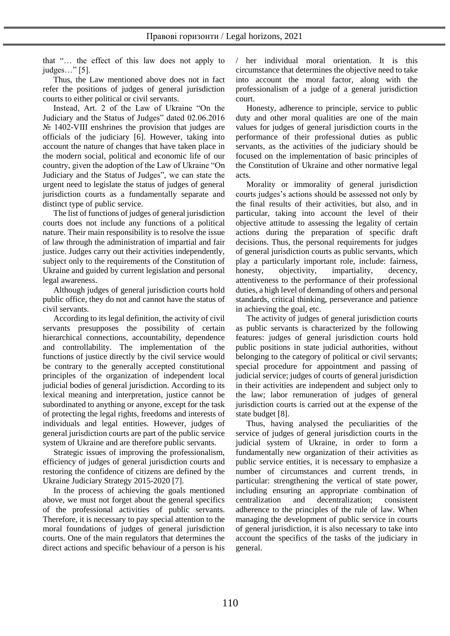that "… the effect of this law does not apply to judges…" [5].

Thus, the Law mentioned above does not in fact refer the positions of judges of general jurisdiction courts to either political or civil servants.

Instead, Art. 2 of the Law of Ukraine "On the Judiciary and the Status of Judges" dated 02.06.2016 № 1402-VIII enshrines the provision that judges are officials of the judiciary [6]. However, taking into account the nature of changes that have taken place in the modern social, political and economic life of our country, given the adoption of the Law of Ukraine "On Judiciary and the Status of Judges", we can state the urgent need to legislate the status of judges of general jurisdiction courts as a fundamentally separate and distinct type of public service.

The list of functions of judges of general jurisdiction courts does not include any functions of a political nature. Their main responsibility is to resolve the issue of law through the administration of impartial and fair justice. Judges carry out their activities independently, subject only to the requirements of the Constitution of Ukraine and guided by current legislation and personal legal awareness.

Although judges of general jurisdiction courts hold public office, they do not and cannot have the status of civil servants.

According to its legal definition, the activity of civil servants presupposes the possibility of certain hierarchical connections, accountability, dependence and controllability. The implementation of the functions of justice directly by the civil service would be contrary to the generally accepted constitutional principles of the organization of independent local judicial bodies of general jurisdiction. According to its lexical meaning and interpretation, justice cannot be subordinated to anything or anyone, except for the task of protecting the legal rights, freedoms and interests of individuals and legal entities. However, judges of general jurisdiction courts are part of the public service system of Ukraine and are therefore public servants.

Strategic issues of improving the professionalism, efficiency of judges of general jurisdiction courts and restoring the confidence of citizens are defined by the Ukraine Judiciary Strategy 2015-2020 [7].

In the process of achieving the goals mentioned above, we must not forget about the general specifics of the professional activities of public servants. Therefore, it is necessary to pay special attention to the moral foundations of judges of general jurisdiction courts. One of the main regulators that determines the direct actions and specific behaviour of a person is his / her individual moral orientation. It is this circumstance that determines the objective need to take into account the moral factor, along with the professionalism of a judge of a general jurisdiction court.

Honesty, adherence to principle, service to public duty and other moral qualities are one of the main values for judges of general jurisdiction courts in the performance of their professional duties as public servants, as the activities of the judiciary should be focused on the implementation of basic principles of the Constitution of Ukraine and other normative legal acts.

Morality or immorality of general jurisdiction courts judges's actions should be assessed not only by the final results of their activities, but also, and in particular, taking into account the level of their objective attitude to assessing the legality of certain actions during the preparation of specific draft decisions. Thus, the personal requirements for judges of general jurisdiction courts as public servants, which play a particularly important role, include: fairness, honesty, objectivity, impartiality, decency, attentiveness to the performance of their professional duties, a high level of demanding of others and personal standards, critical thinking, perseverance and patience in achieving the goal, etc.

The activity of judges of general jurisdiction courts as public servants is characterized by the following features: judges of general jurisdiction courts hold public positions in state judicial authorities, without belonging to the category of political or civil servants; special procedure for appointment and passing of judicial service; judges of courts of general jurisdiction in their activities are independent and subject only to the law; labor remuneration of judges of general jurisdiction courts is carried out at the expense of the state budget [8].

Thus, having analysed the peculiarities of the service of judges of general jurisdiction courts in the judicial system of Ukraine, in order to form a fundamentally new organization of their activities as public service entities, it is necessary to emphasize a number of circumstances and current trends, in particular: strengthening the vertical of state power, including ensuring an appropriate combination of centralization and decentralization; consistent adherence to the principles of the rule of law. When managing the development of public service in courts of general jurisdiction, it is also necessary to take into account the specifics of the tasks of the judiciary in general.